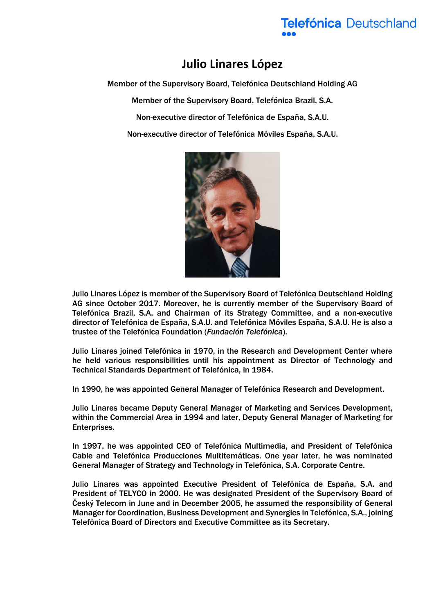## **Telefónica Deutschland**

## **Julio Linares López**

Member of the Supervisory Board, Telefónica Deutschland Holding AG

Member of the Supervisory Board, Telefónica Brazil, S.A.

Non-executive director of Telefónica de España, S.A.U.

Non-executive director of Telefónica Móviles España, S.A.U.



Julio Linares López is member of the Supervisory Board of Telefónica Deutschland Holding AG since October 2017. Moreover, he is currently member of the Supervisory Board of Telefónica Brazil, S.A. and Chairman of its Strategy Committee, and a non-executive director of Telefónica de España, S.A.U. and Telefónica Móviles España, S.A.U. He is also a trustee of the Telefónica Foundation (*Fundación Telefónica*).

Julio Linares joined Telefónica in 1970, in the Research and Development Center where he held various responsibilities until his appointment as Director of Technology and Technical Standards Department of Telefónica, in 1984.

In 1990, he was appointed General Manager of Telefónica Research and Development.

Julio Linares became Deputy General Manager of Marketing and Services Development, within the Commercial Area in 1994 and later, Deputy General Manager of Marketing for Enterprises.

In 1997, he was appointed CEO of Telefónica Multimedia, and President of Telefónica Cable and Telefónica Producciones Multitemáticas. One year later, he was nominated General Manager of Strategy and Technology in Telefónica, S.A. Corporate Centre.

Julio Linares was appointed Executive President of Telefónica de España, S.A. and President of TELYCO in 2000. He was designated President of the Supervisory Board of Český Telecom in June and in December 2005, he assumed the responsibility of General Manager for Coordination, Business Development and Synergies in Telefónica, S.A., joining Telefónica Board of Directors and Executive Committee as its Secretary.